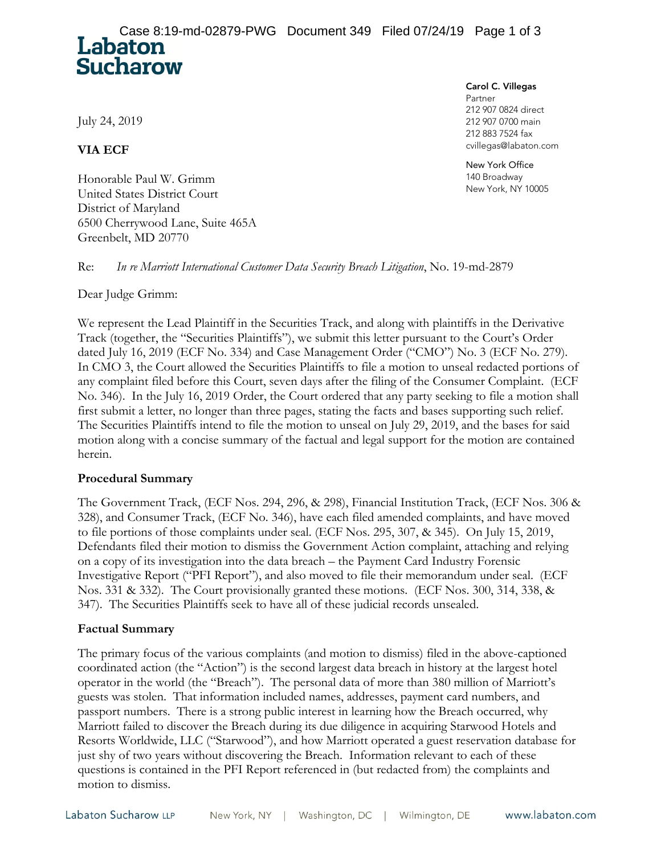July 24, 2019

**Sucharow** 

**VIA ECF** 

Honorable Paul W. Grimm United States District Court District of Maryland 6500 Cherrywood Lane, Suite 465A Greenbelt, MD 20770

Carol C. Villegas

Partner 212 907 0824 direct 212 907 0700 main 212 883 7524 fax cvillegas@labaton.com

New York Office 140 Broadway New York, NY 10005

Re: *In re Marriott International Customer Data Security Breach Litigation*, No. 19-md-2879

Dear Judge Grimm:

We represent the Lead Plaintiff in the Securities Track, and along with plaintiffs in the Derivative Track (together, the "Securities Plaintiffs"), we submit this letter pursuant to the Court's Order dated July 16, 2019 (ECF No. 334) and Case Management Order ("CMO") No. 3 (ECF No. 279). In CMO 3, the Court allowed the Securities Plaintiffs to file a motion to unseal redacted portions of any complaint filed before this Court, seven days after the filing of the Consumer Complaint. (ECF No. 346). In the July 16, 2019 Order, the Court ordered that any party seeking to file a motion shall first submit a letter, no longer than three pages, stating the facts and bases supporting such relief. The Securities Plaintiffs intend to file the motion to unseal on July 29, 2019, and the bases for said motion along with a concise summary of the factual and legal support for the motion are contained herein.

## **Procedural Summary**

The Government Track, (ECF Nos. 294, 296, & 298), Financial Institution Track, (ECF Nos. 306 & 328), and Consumer Track, (ECF No. 346), have each filed amended complaints, and have moved to file portions of those complaints under seal. (ECF Nos. 295, 307, & 345). On July 15, 2019, Defendants filed their motion to dismiss the Government Action complaint, attaching and relying on a copy of its investigation into the data breach – the Payment Card Industry Forensic Investigative Report ("PFI Report"), and also moved to file their memorandum under seal. (ECF Nos. 331 & 332). The Court provisionally granted these motions. (ECF Nos. 300, 314, 338, & 347). The Securities Plaintiffs seek to have all of these judicial records unsealed.

## **Factual Summary**

The primary focus of the various complaints (and motion to dismiss) filed in the above-captioned coordinated action (the "Action") is the second largest data breach in history at the largest hotel operator in the world (the "Breach"). The personal data of more than 380 million of Marriott's guests was stolen. That information included names, addresses, payment card numbers, and passport numbers. There is a strong public interest in learning how the Breach occurred, why Marriott failed to discover the Breach during its due diligence in acquiring Starwood Hotels and Resorts Worldwide, LLC ("Starwood"), and how Marriott operated a guest reservation database for just shy of two years without discovering the Breach. Information relevant to each of these questions is contained in the PFI Report referenced in (but redacted from) the complaints and motion to dismiss.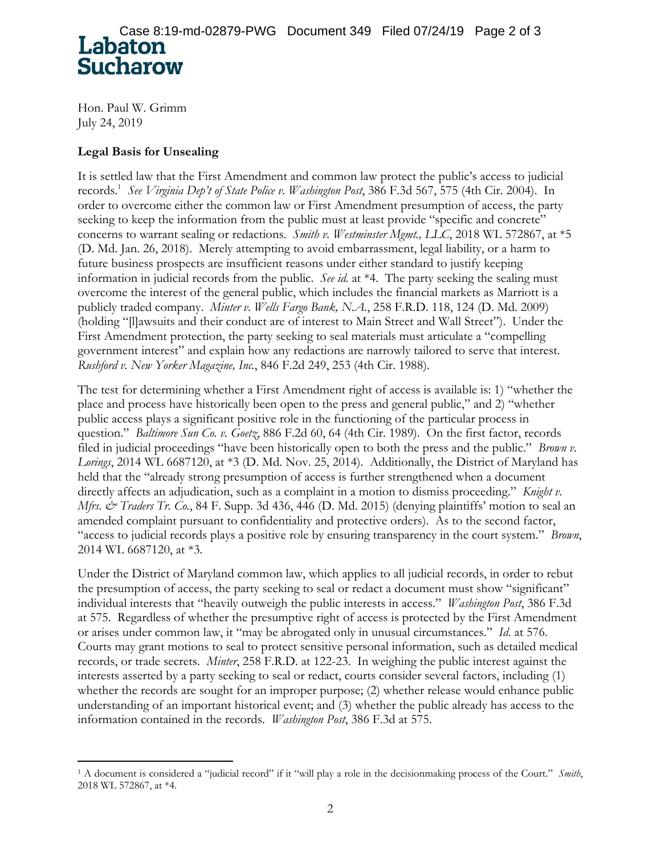Hon. Paul W. Grimm July 24, 2019

-

## **Legal Basis for Unsealing**

It is settled law that the First Amendment and common law protect the public's access to judicial records.1 *See Virginia Dep't of State Police v. Washington Post*, 386 F.3d 567, 575 (4th Cir. 2004). In order to overcome either the common law or First Amendment presumption of access, the party seeking to keep the information from the public must at least provide "specific and concrete" concerns to warrant sealing or redactions. *Smith v. Westminster Mgmt., LLC*, 2018 WL 572867, at \*5 (D. Md. Jan. 26, 2018). Merely attempting to avoid embarrassment, legal liability, or a harm to future business prospects are insufficient reasons under either standard to justify keeping information in judicial records from the public. *See id.* at \*4. The party seeking the sealing must overcome the interest of the general public, which includes the financial markets as Marriott is a publicly traded company. *Minter v. Wells Fargo Bank, N.A.*, 258 F.R.D. 118, 124 (D. Md. 2009) (holding "[l]awsuits and their conduct are of interest to Main Street and Wall Street"). Under the First Amendment protection, the party seeking to seal materials must articulate a "compelling government interest" and explain how any redactions are narrowly tailored to serve that interest. *Rushford v. New Yorker Magazine, Inc.*, 846 F.2d 249, 253 (4th Cir. 1988).

The test for determining whether a First Amendment right of access is available is: 1) "whether the place and process have historically been open to the press and general public," and 2) "whether public access plays a significant positive role in the functioning of the particular process in question." *Baltimore Sun Co. v. Goetz*, 886 F.2d 60, 64 (4th Cir. 1989). On the first factor, records filed in judicial proceedings "have been historically open to both the press and the public." *Brown v. Lorings*, 2014 WL 6687120, at \*3 (D. Md. Nov. 25, 2014). Additionally, the District of Maryland has held that the "already strong presumption of access is further strengthened when a document directly affects an adjudication, such as a complaint in a motion to dismiss proceeding." *Knight v. Mfrs. & Traders Tr. Co.*, 84 F. Supp. 3d 436, 446 (D. Md. 2015) (denying plaintiffs' motion to seal an amended complaint pursuant to confidentiality and protective orders). As to the second factor, "access to judicial records plays a positive role by ensuring transparency in the court system." *Brown*, 2014 WL 6687120, at \*3.

Under the District of Maryland common law, which applies to all judicial records, in order to rebut the presumption of access, the party seeking to seal or redact a document must show "significant" individual interests that "heavily outweigh the public interests in access." *Washington Post*, 386 F.3d at 575. Regardless of whether the presumptive right of access is protected by the First Amendment or arises under common law, it "may be abrogated only in unusual circumstances." *Id*. at 576. Courts may grant motions to seal to protect sensitive personal information, such as detailed medical records, or trade secrets. *Minter*, 258 F.R.D. at 122-23. In weighing the public interest against the interests asserted by a party seeking to seal or redact, courts consider several factors, including (1) whether the records are sought for an improper purpose; (2) whether release would enhance public understanding of an important historical event; and (3) whether the public already has access to the information contained in the records. *Washington Post*, 386 F.3d at 575.

<sup>1</sup> A document is considered a "judicial record" if it "will play a role in the decisionmaking process of the Court." *Smith*, 2018 WL 572867, at \*4.